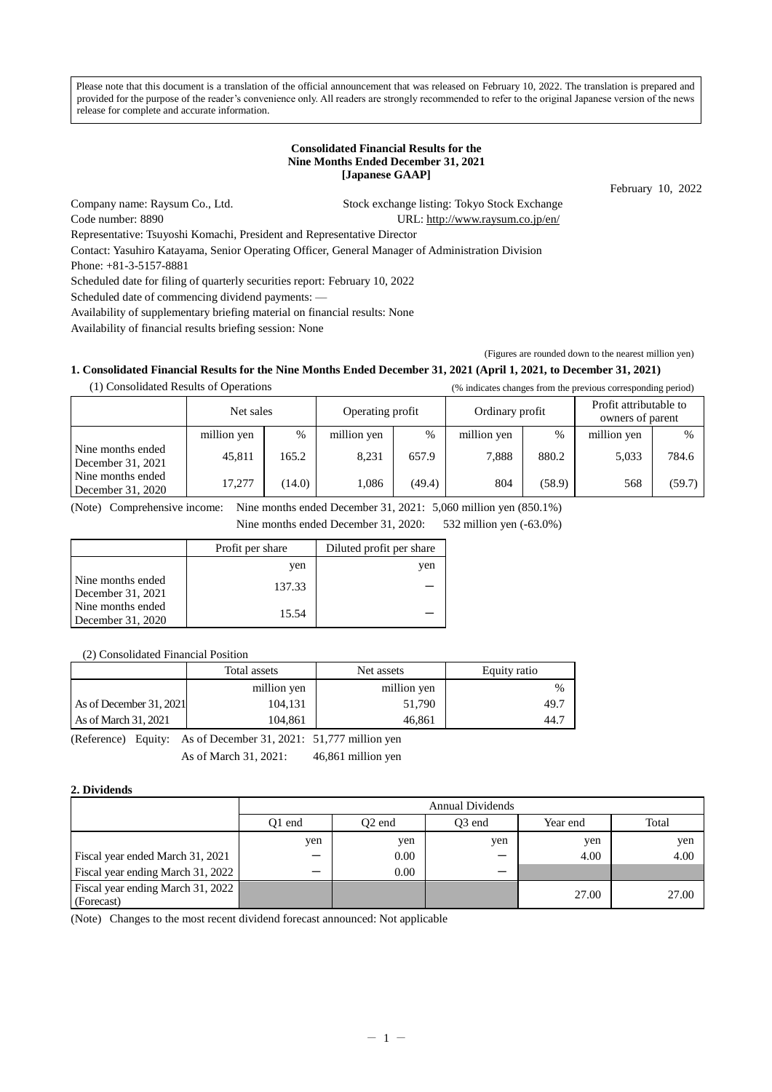Please note that this document is a translation of the official announcement that was released on February 10, 2022. The translation is prepared and provided for the purpose of the reader's convenience only. All readers are strongly recommended to refer to the original Japanese version of the news release for complete and accurate information.

# **Consolidated Financial Results for the Nine Months Ended December 31, 2021 [Japanese GAAP]**

February 10, 2022

Company name: Raysum Co., Ltd. Stock exchange listing: Tokyo Stock Exchange Code number: 8890 URL:<http://www.raysum.co.jp/en/>

Representative: Tsuyoshi Komachi, President and Representative Director

Contact: Yasuhiro Katayama, Senior Operating Officer, General Manager of Administration Division

Phone: +81-3-5157-8881

Scheduled date for filing of quarterly securities report: February 10, 2022

Scheduled date of commencing dividend payments: —

Availability of supplementary briefing material on financial results: None

Availability of financial results briefing session: None

(Figures are rounded down to the nearest million yen)

# **1. Consolidated Financial Results for the Nine Months Ended December 31, 2021 (April 1, 2021, to December 31, 2021)**

| (1) Consolidated Results of Operations |             |        |                  |        |                 |        | (% indicates changes from the previous corresponding period) |        |
|----------------------------------------|-------------|--------|------------------|--------|-----------------|--------|--------------------------------------------------------------|--------|
|                                        | Net sales   |        | Operating profit |        | Ordinary profit |        | Profit attributable to<br>owners of parent                   |        |
|                                        | million yen | $\%$   | million yen      | $\%$   | million yen     | $\%$   | million yen                                                  | $\%$   |
| Nine months ended<br>December 31, 2021 | 45,811      | 165.2  | 8.231            | 657.9  | 7.888           | 880.2  | 5,033                                                        | 784.6  |
| Nine months ended<br>December 31, 2020 | 17.277      | (14.0) | 1.086            | (49.4) | 804             | (58.9) | 568                                                          | (59.7) |

(Note) Comprehensive income: Nine months ended December 31, 2021: 5,060 million yen (850.1%)

Nine months ended December 31, 2020: 532 million yen (-63.0%)

|                                          | Profit per share | Diluted profit per share |
|------------------------------------------|------------------|--------------------------|
|                                          | yen              | yen                      |
| Nine months ended<br>December $31, 2021$ | 137.33           |                          |
| Nine months ended<br>December 31, 2020   | 15.54            |                          |

(2) Consolidated Financial Position

| million yen<br>million yen                   | %    |
|----------------------------------------------|------|
|                                              |      |
| As of December 31, 2021<br>51,790<br>104.131 | 49.7 |
| As of March $31,2021$<br>104.861<br>46.861   | 44.7 |

(Reference) Equity: As of December 31, 2021: 51,777 million yen As of March 31, 2021: 46,861 million yen

# **2. Dividends**

|                                                 | <b>Annual Dividends</b> |                    |                    |          |       |  |
|-------------------------------------------------|-------------------------|--------------------|--------------------|----------|-------|--|
|                                                 | 01 end                  | O <sub>2</sub> end | O <sub>3</sub> end | Year end | Total |  |
|                                                 | yen                     | yen                | yen                | yen      | yen   |  |
| Fiscal year ended March 31, 2021                |                         | 0.00               |                    | 4.00     | 4.00  |  |
| Fiscal year ending March 31, 2022               |                         | 0.00               |                    |          |       |  |
| Fiscal year ending March 31, 2022<br>(Forecast) |                         |                    |                    | 27.00    | 27.00 |  |

(Note) Changes to the most recent dividend forecast announced: Not applicable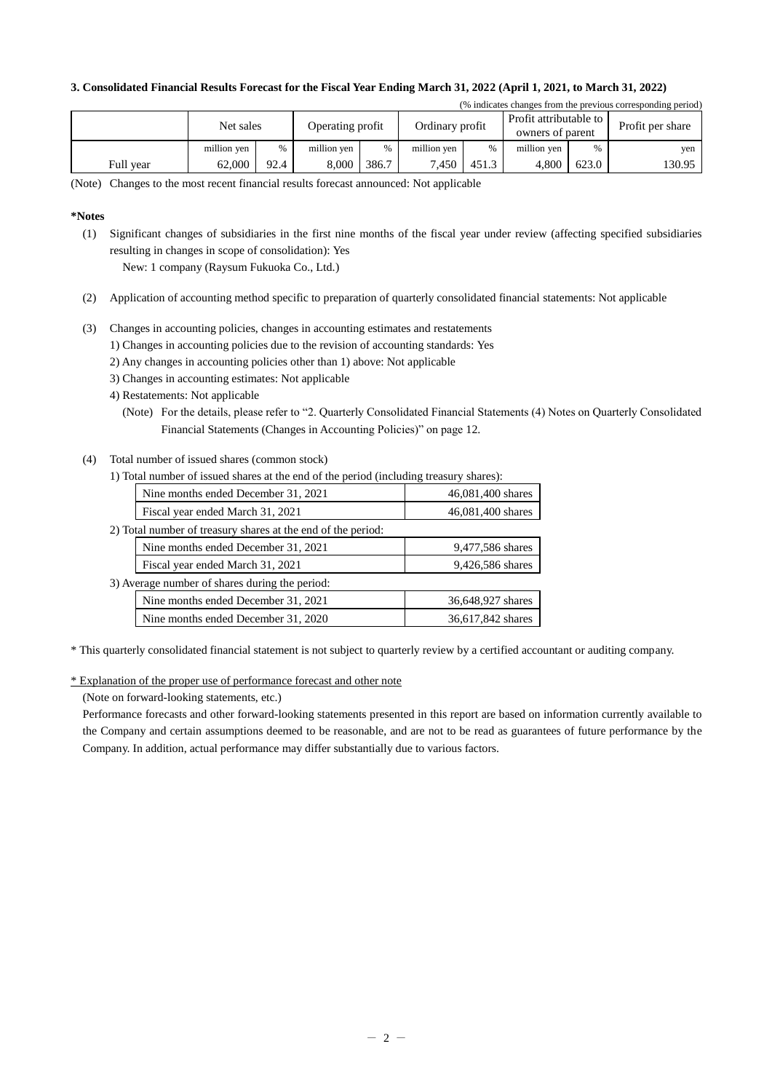# **3. Consolidated Financial Results Forecast for the Fiscal Year Ending March 31, 2022 (April 1, 2021, to March 31, 2022)**

| (% indicates changes from the previous corresponding period) |             |      |                  |       |                 |       |                                            |       |                  |
|--------------------------------------------------------------|-------------|------|------------------|-------|-----------------|-------|--------------------------------------------|-------|------------------|
|                                                              | Net sales   |      | Operating profit |       | Ordinary profit |       | Profit attributable to<br>owners of parent |       | Profit per share |
|                                                              | million yen | %    | million yen      | %     | million yen     | %     | million yen                                | %     | yen              |
| Full vear                                                    | 62,000      | 92.4 | 8.000            | 386.7 | 7.450           | 451.3 | 4.800                                      | 623.0 | 130.95           |

(Note) Changes to the most recent financial results forecast announced: Not applicable

# **\*Notes**

(1) Significant changes of subsidiaries in the first nine months of the fiscal year under review (affecting specified subsidiaries resulting in changes in scope of consolidation): Yes

New: 1 company (Raysum Fukuoka Co., Ltd.)

- (2) Application of accounting method specific to preparation of quarterly consolidated financial statements: Not applicable
- (3) Changes in accounting policies, changes in accounting estimates and restatements
	- 1) Changes in accounting policies due to the revision of accounting standards: Yes
	- 2) Any changes in accounting policies other than 1) above: Not applicable
	- 3) Changes in accounting estimates: Not applicable
	- 4) Restatements: Not applicable
		- (Note) For the details, please refer to "2. Quarterly Consolidated Financial Statements (4) Notes on Quarterly Consolidated Financial Statements (Changes in Accounting Policies)" on page 12.
- (4) Total number of issued shares (common stock) 1) Total number of issued shares at the end of the period (including treasury shares):

| 1) Total number of issued shares at the end of the period (including treasury shares). |                   |
|----------------------------------------------------------------------------------------|-------------------|
| Nine months ended December 31, 2021                                                    | 46,081,400 shares |
| Fiscal year ended March 31, 2021                                                       | 46,081,400 shares |
| 2) Total number of treasury shares at the end of the period:                           |                   |
| Nine months ended December 31, 2021                                                    | 9,477,586 shares  |
| Fiscal year ended March 31, 2021                                                       | 9,426,586 shares  |
| 3) Average number of shares during the period:                                         |                   |
| Nine months ended December 31, 2021                                                    | 36,648,927 shares |
| Nine months ended December 31, 2020                                                    | 36,617,842 shares |
|                                                                                        |                   |

\* This quarterly consolidated financial statement is not subject to quarterly review by a certified accountant or auditing company.

\* Explanation of the proper use of performance forecast and other note

(Note on forward-looking statements, etc.)

Performance forecasts and other forward-looking statements presented in this report are based on information currently available to the Company and certain assumptions deemed to be reasonable, and are not to be read as guarantees of future performance by the Company. In addition, actual performance may differ substantially due to various factors.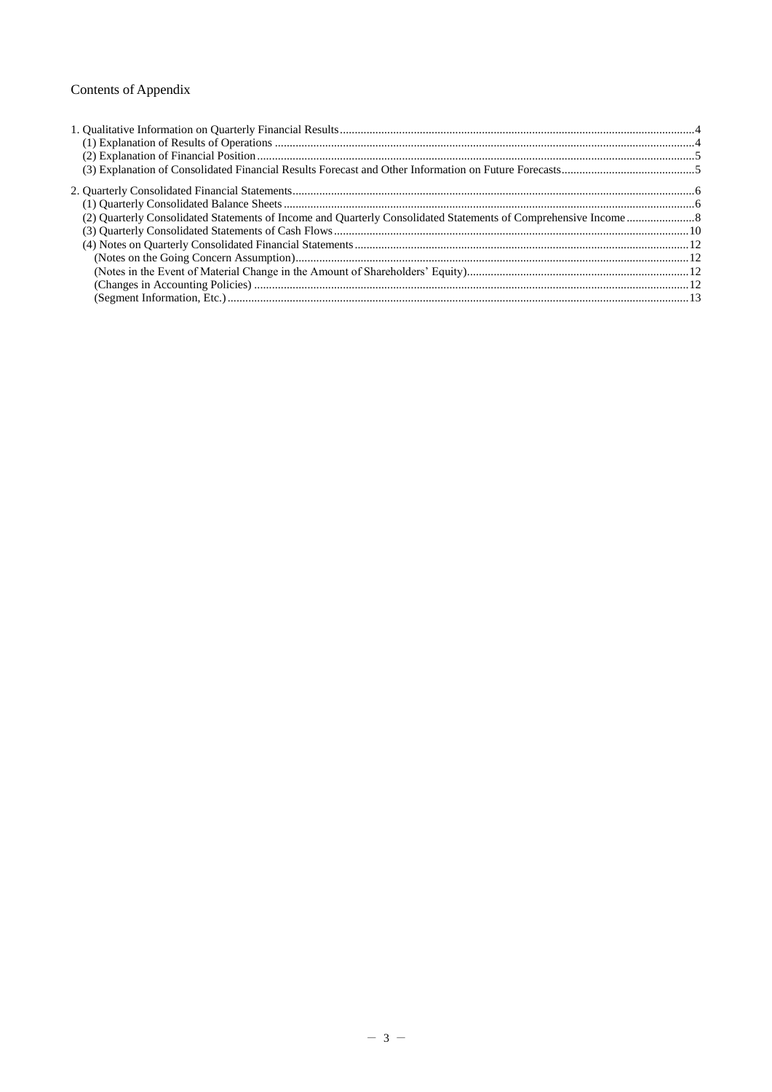# Contents of Appendix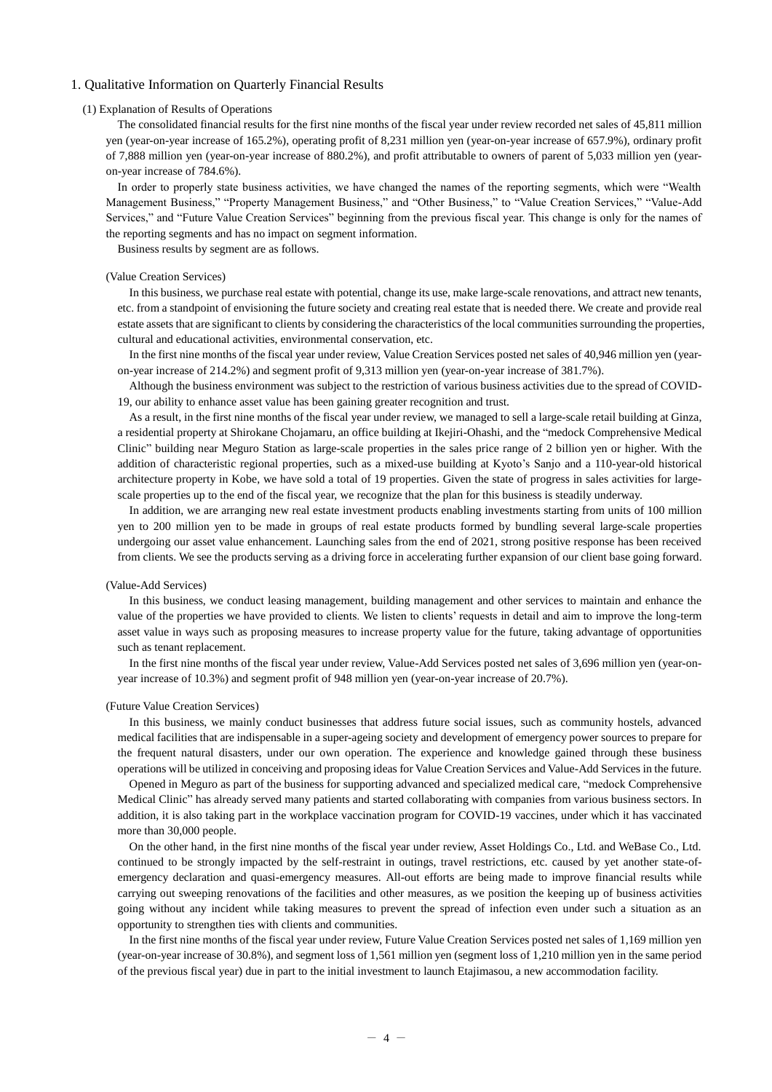# <span id="page-3-1"></span><span id="page-3-0"></span>1. Qualitative Information on Quarterly Financial Results

#### (1) Explanation of Results of Operations

The consolidated financial results for the first nine months of the fiscal year under review recorded net sales of 45,811 million yen (year-on-year increase of 165.2%), operating profit of 8,231 million yen (year-on-year increase of 657.9%), ordinary profit of 7,888 million yen (year-on-year increase of 880.2%), and profit attributable to owners of parent of 5,033 million yen (yearon-year increase of 784.6%).

In order to properly state business activities, we have changed the names of the reporting segments, which were "Wealth Management Business," "Property Management Business," and "Other Business," to "Value Creation Services," "Value-Add Services," and "Future Value Creation Services" beginning from the previous fiscal year. This change is only for the names of the reporting segments and has no impact on segment information.

Business results by segment are as follows.

# (Value Creation Services)

In this business, we purchase real estate with potential, change its use, make large-scale renovations, and attract new tenants, etc. from a standpoint of envisioning the future society and creating real estate that is needed there. We create and provide real estate assets that are significant to clients by considering the characteristics of the local communities surrounding the properties, cultural and educational activities, environmental conservation, etc.

In the first nine months of the fiscal year under review, Value Creation Services posted net sales of 40,946 million yen (yearon-year increase of 214.2%) and segment profit of 9,313 million yen (year-on-year increase of 381.7%).

Although the business environment was subject to the restriction of various business activities due to the spread of COVID-19, our ability to enhance asset value has been gaining greater recognition and trust.

As a result, in the first nine months of the fiscal year under review, we managed to sell a large-scale retail building at Ginza, a residential property at Shirokane Chojamaru, an office building at Ikejiri-Ohashi, and the "medock Comprehensive Medical Clinic" building near Meguro Station as large-scale properties in the sales price range of 2 billion yen or higher. With the addition of characteristic regional properties, such as a mixed-use building at Kyoto's Sanjo and a 110-year-old historical architecture property in Kobe, we have sold a total of 19 properties. Given the state of progress in sales activities for largescale properties up to the end of the fiscal year, we recognize that the plan for this business is steadily underway.

In addition, we are arranging new real estate investment products enabling investments starting from units of 100 million yen to 200 million yen to be made in groups of real estate products formed by bundling several large-scale properties undergoing our asset value enhancement. Launching sales from the end of 2021, strong positive response has been received from clients. We see the products serving as a driving force in accelerating further expansion of our client base going forward.

#### (Value-Add Services)

In this business, we conduct leasing management, building management and other services to maintain and enhance the value of the properties we have provided to clients. We listen to clients' requests in detail and aim to improve the long-term asset value in ways such as proposing measures to increase property value for the future, taking advantage of opportunities such as tenant replacement.

In the first nine months of the fiscal year under review, Value-Add Services posted net sales of 3,696 million yen (year-onyear increase of 10.3%) and segment profit of 948 million yen (year-on-year increase of 20.7%).

#### (Future Value Creation Services)

In this business, we mainly conduct businesses that address future social issues, such as community hostels, advanced medical facilities that are indispensable in a super-ageing society and development of emergency power sources to prepare for the frequent natural disasters, under our own operation. The experience and knowledge gained through these business operations will be utilized in conceiving and proposing ideas for Value Creation Services and Value-Add Services in the future.

Opened in Meguro as part of the business for supporting advanced and specialized medical care, "medock Comprehensive Medical Clinic" has already served many patients and started collaborating with companies from various business sectors. In addition, it is also taking part in the workplace vaccination program for COVID-19 vaccines, under which it has vaccinated more than 30,000 people.

On the other hand, in the first nine months of the fiscal year under review, Asset Holdings Co., Ltd. and WeBase Co., Ltd. continued to be strongly impacted by the self-restraint in outings, travel restrictions, etc. caused by yet another state-ofemergency declaration and quasi-emergency measures. All-out efforts are being made to improve financial results while carrying out sweeping renovations of the facilities and other measures, as we position the keeping up of business activities going without any incident while taking measures to prevent the spread of infection even under such a situation as an opportunity to strengthen ties with clients and communities.

In the first nine months of the fiscal year under review, Future Value Creation Services posted net sales of 1,169 million yen (year-on-year increase of 30.8%), and segment loss of 1,561 million yen (segment loss of 1,210 million yen in the same period of the previous fiscal year) due in part to the initial investment to launch Etajimasou, a new accommodation facility.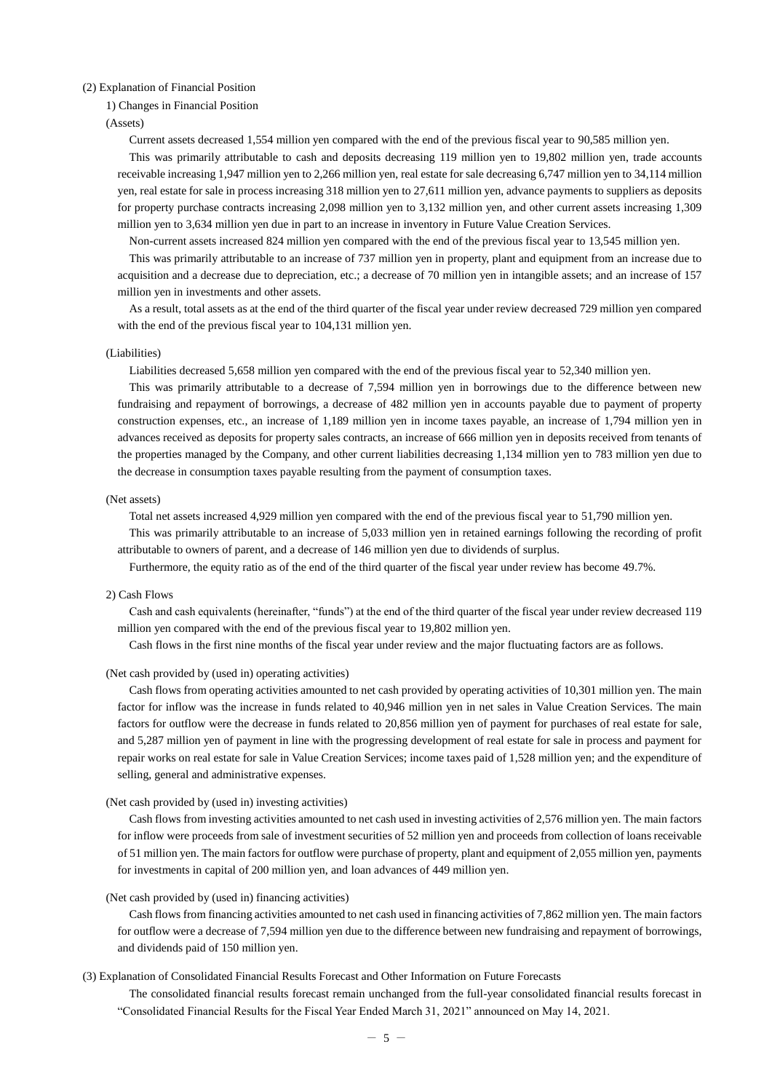### <span id="page-4-0"></span>(2) Explanation of Financial Position

#### 1) Changes in Financial Position

#### (Assets)

Current assets decreased 1,554 million yen compared with the end of the previous fiscal year to 90,585 million yen.

This was primarily attributable to cash and deposits decreasing 119 million yen to 19,802 million yen, trade accounts receivable increasing 1,947 million yen to 2,266 million yen, real estate for sale decreasing 6,747 million yen to 34,114 million yen, real estate for sale in process increasing 318 million yen to 27,611 million yen, advance payments to suppliers as deposits for property purchase contracts increasing 2,098 million yen to 3,132 million yen, and other current assets increasing 1,309 million yen to 3,634 million yen due in part to an increase in inventory in Future Value Creation Services.

Non-current assets increased 824 million yen compared with the end of the previous fiscal year to 13,545 million yen.

This was primarily attributable to an increase of 737 million yen in property, plant and equipment from an increase due to acquisition and a decrease due to depreciation, etc.; a decrease of 70 million yen in intangible assets; and an increase of 157 million yen in investments and other assets.

As a result, total assets as at the end of the third quarter of the fiscal year under review decreased 729 million yen compared with the end of the previous fiscal year to 104,131 million yen.

# (Liabilities)

Liabilities decreased 5,658 million yen compared with the end of the previous fiscal year to 52,340 million yen.

This was primarily attributable to a decrease of 7,594 million yen in borrowings due to the difference between new fundraising and repayment of borrowings, a decrease of 482 million yen in accounts payable due to payment of property construction expenses, etc., an increase of 1,189 million yen in income taxes payable, an increase of 1,794 million yen in advances received as deposits for property sales contracts, an increase of 666 million yen in deposits received from tenants of the properties managed by the Company, and other current liabilities decreasing 1,134 million yen to 783 million yen due to the decrease in consumption taxes payable resulting from the payment of consumption taxes.

## (Net assets)

Total net assets increased 4,929 million yen compared with the end of the previous fiscal year to 51,790 million yen.

This was primarily attributable to an increase of 5,033 million yen in retained earnings following the recording of profit attributable to owners of parent, and a decrease of 146 million yen due to dividends of surplus.

Furthermore, the equity ratio as of the end of the third quarter of the fiscal year under review has become 49.7%.

#### 2) Cash Flows

Cash and cash equivalents (hereinafter, "funds") at the end of the third quarter of the fiscal year under review decreased 119 million yen compared with the end of the previous fiscal year to 19,802 million yen.

Cash flows in the first nine months of the fiscal year under review and the major fluctuating factors are as follows.

# (Net cash provided by (used in) operating activities)

Cash flows from operating activities amounted to net cash provided by operating activities of 10,301 million yen. The main factor for inflow was the increase in funds related to 40,946 million yen in net sales in Value Creation Services. The main factors for outflow were the decrease in funds related to 20,856 million yen of payment for purchases of real estate for sale, and 5,287 million yen of payment in line with the progressing development of real estate for sale in process and payment for repair works on real estate for sale in Value Creation Services; income taxes paid of 1,528 million yen; and the expenditure of selling, general and administrative expenses.

# (Net cash provided by (used in) investing activities)

Cash flows from investing activities amounted to net cash used in investing activities of 2,576 million yen. The main factors for inflow were proceeds from sale of investment securities of 52 million yen and proceeds from collection of loans receivable of 51 million yen. The main factors for outflow were purchase of property, plant and equipment of 2,055 million yen, payments for investments in capital of 200 million yen, and loan advances of 449 million yen.

#### (Net cash provided by (used in) financing activities)

Cash flows from financing activities amounted to net cash used in financing activities of 7,862 million yen. The main factors for outflow were a decrease of 7,594 million yen due to the difference between new fundraising and repayment of borrowings, and dividends paid of 150 million yen.

# <span id="page-4-1"></span>(3) Explanation of Consolidated Financial Results Forecast and Other Information on Future Forecasts

The consolidated financial results forecast remain unchanged from the full-year consolidated financial results forecast in "Consolidated Financial Results for the Fiscal Year Ended March 31, 2021" announced on May 14, 2021.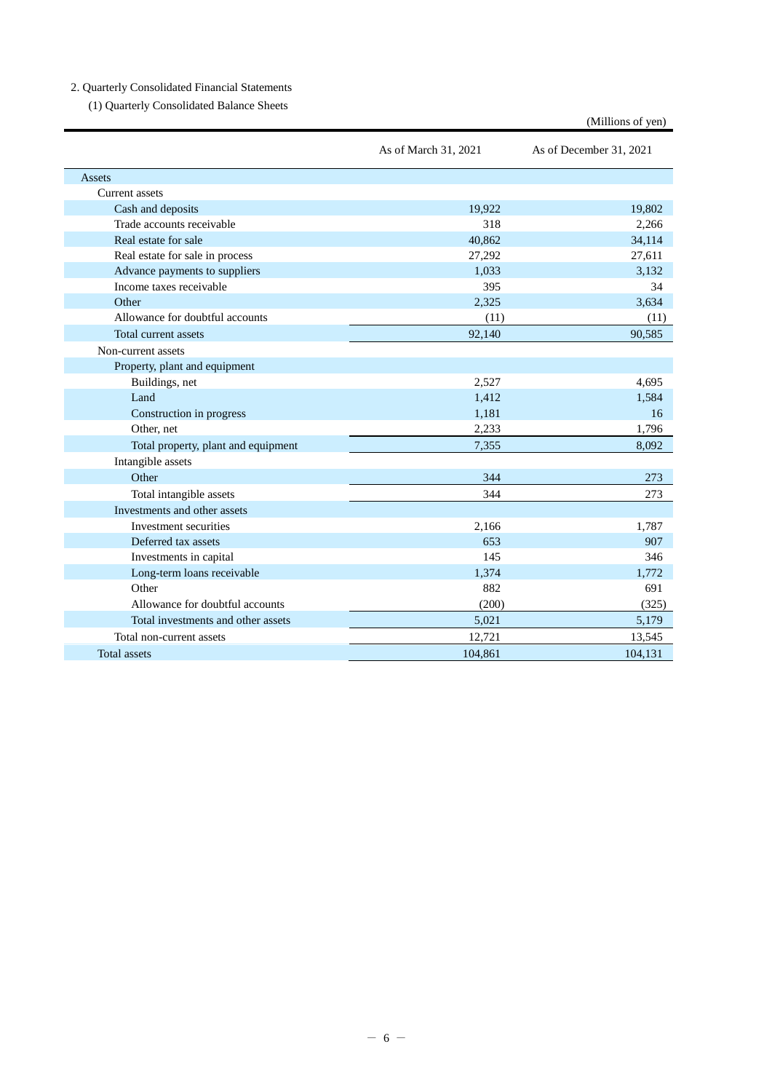# <span id="page-5-1"></span><span id="page-5-0"></span>2. Quarterly Consolidated Financial Statements

(1) Quarterly Consolidated Balance Sheets

|                                     |                      | (Millions of yen)       |
|-------------------------------------|----------------------|-------------------------|
|                                     | As of March 31, 2021 | As of December 31, 2021 |
| Assets                              |                      |                         |
| <b>Current</b> assets               |                      |                         |
| Cash and deposits                   | 19.922               | 19,802                  |
| Trade accounts receivable           | 318                  | 2,266                   |
| Real estate for sale                | 40.862               | 34,114                  |
| Real estate for sale in process     | 27,292               | 27,611                  |
| Advance payments to suppliers       | 1.033                | 3.132                   |
| Income taxes receivable             | 395                  | 34                      |
| Other                               | 2,325                | 3,634                   |
| Allowance for doubtful accounts     | (11)                 | (11)                    |
| Total current assets                | 92,140               | 90,585                  |
| Non-current assets                  |                      |                         |
| Property, plant and equipment       |                      |                         |
| Buildings, net                      | 2,527                | 4,695                   |
| Land                                | 1,412                | 1,584                   |
| Construction in progress            | 1,181                | 16                      |
| Other, net                          | 2,233                | 1,796                   |
| Total property, plant and equipment | 7,355                | 8,092                   |
| Intangible assets                   |                      |                         |
| Other                               | 344                  | 273                     |
| Total intangible assets             | 344                  | 273                     |
| Investments and other assets        |                      |                         |
| Investment securities               | 2,166                | 1,787                   |
| Deferred tax assets                 | 653                  | 907                     |
| Investments in capital              | 145                  | 346                     |
| Long-term loans receivable          | 1,374                | 1,772                   |
| Other                               | 882                  | 691                     |
| Allowance for doubtful accounts     | (200)                | (325)                   |
| Total investments and other assets  | 5,021                | 5,179                   |
| Total non-current assets            | 12,721               | 13,545                  |
| <b>Total</b> assets                 | 104,861              | 104,131                 |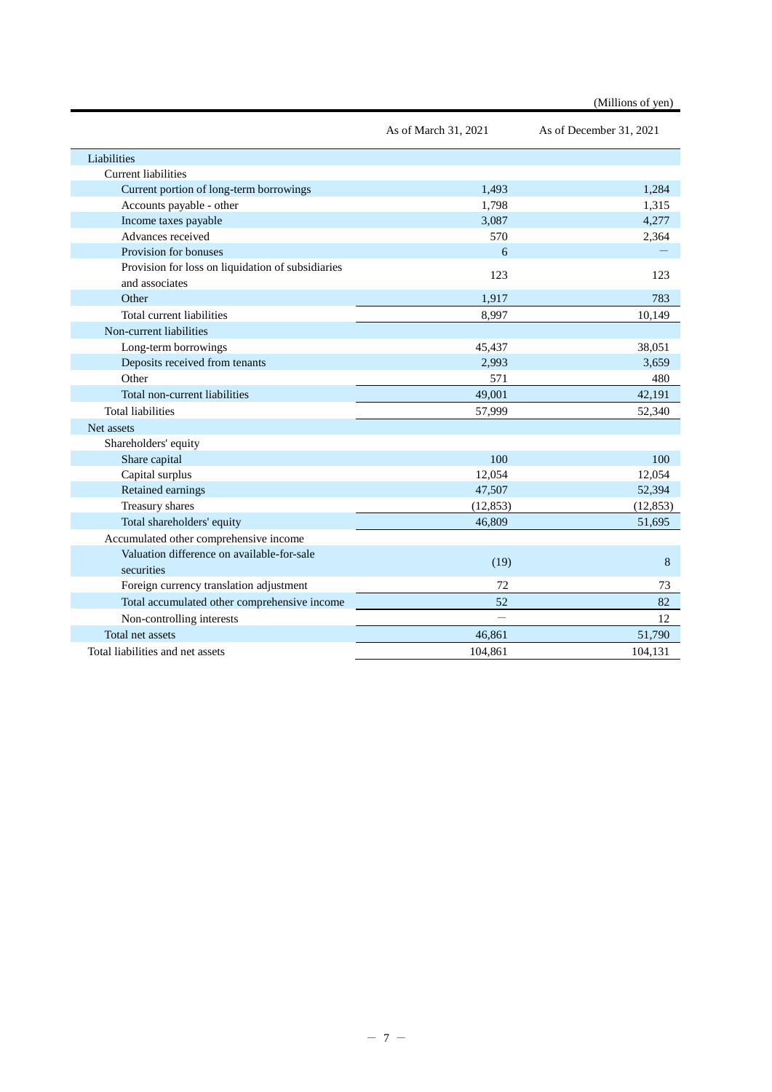|                                                   |                      | (Millions of yen)       |
|---------------------------------------------------|----------------------|-------------------------|
|                                                   | As of March 31, 2021 | As of December 31, 2021 |
| Liabilities                                       |                      |                         |
| <b>Current liabilities</b>                        |                      |                         |
| Current portion of long-term borrowings           | 1,493                | 1,284                   |
| Accounts payable - other                          | 1,798                | 1,315                   |
| Income taxes payable                              | 3,087                | 4,277                   |
| Advances received                                 | 570                  | 2,364                   |
| Provision for bonuses                             | 6                    |                         |
| Provision for loss on liquidation of subsidiaries | 123                  | 123                     |
| and associates                                    |                      |                         |
| Other                                             | 1,917                | 783                     |
| Total current liabilities                         | 8,997                | 10,149                  |
| Non-current liabilities                           |                      |                         |
| Long-term borrowings                              | 45,437               | 38,051                  |
| Deposits received from tenants                    | 2,993                | 3,659                   |
| Other                                             | 571                  | 480                     |
| Total non-current liabilities                     | 49,001               | 42,191                  |
| <b>Total liabilities</b>                          | 57,999               | 52,340                  |
| Net assets                                        |                      |                         |
| Shareholders' equity                              |                      |                         |
| Share capital                                     | 100                  | 100                     |
| Capital surplus                                   | 12,054               | 12,054                  |
| Retained earnings                                 | 47,507               | 52,394                  |
| Treasury shares                                   | (12, 853)            | (12, 853)               |
| Total shareholders' equity                        | 46,809               | 51,695                  |
| Accumulated other comprehensive income            |                      |                         |
| Valuation difference on available-for-sale        |                      |                         |
| securities                                        | (19)                 | 8                       |
| Foreign currency translation adjustment           | 72                   | 73                      |
| Total accumulated other comprehensive income      | 52                   | 82                      |
| Non-controlling interests                         |                      | 12                      |
| Total net assets                                  | 46,861               | 51,790                  |
| Total liabilities and net assets                  | 104,861              | 104,131                 |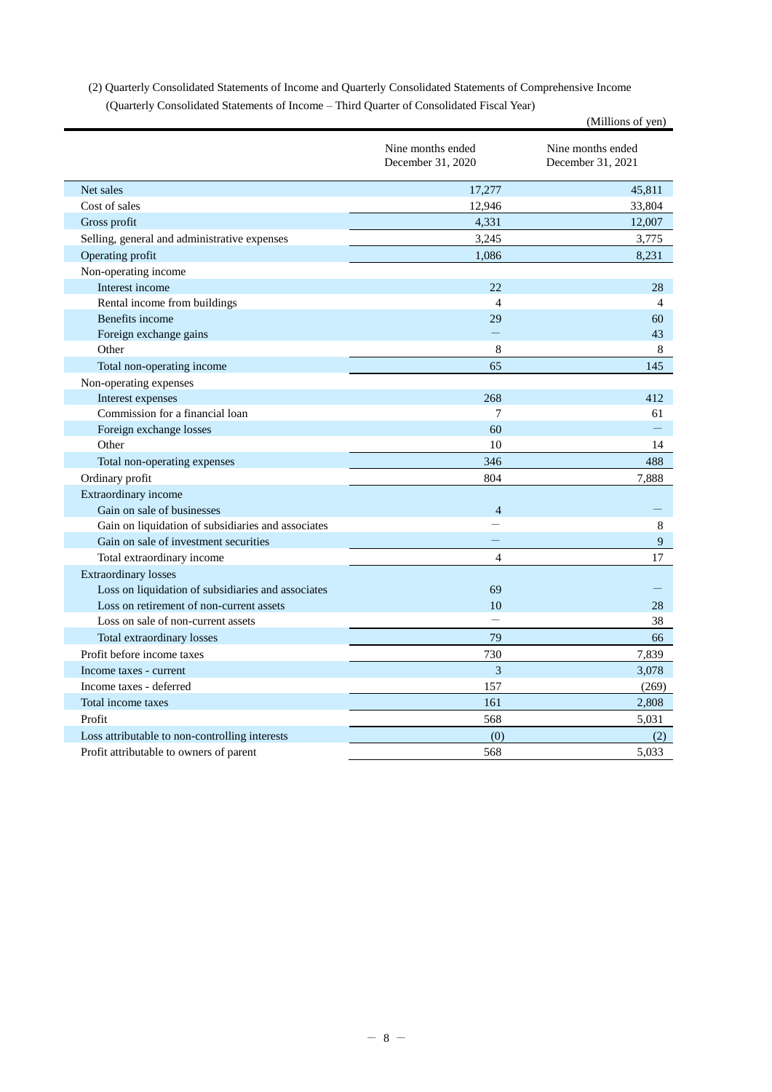<span id="page-7-0"></span>(2) Quarterly Consolidated Statements of Income and Quarterly Consolidated Statements of Comprehensive Income (Quarterly Consolidated Statements of Income – Third Quarter of Consolidated Fiscal Year)

|                                                    |                                        | (Millions of yen)                      |
|----------------------------------------------------|----------------------------------------|----------------------------------------|
|                                                    | Nine months ended<br>December 31, 2020 | Nine months ended<br>December 31, 2021 |
| Net sales                                          | 17,277                                 | 45,811                                 |
| Cost of sales                                      | 12,946                                 | 33,804                                 |
| Gross profit                                       | 4,331                                  | 12,007                                 |
| Selling, general and administrative expenses       | 3,245                                  | 3,775                                  |
| Operating profit                                   | 1,086                                  | 8,231                                  |
| Non-operating income                               |                                        |                                        |
| Interest income                                    | 22                                     | 28                                     |
| Rental income from buildings                       | $\overline{4}$                         | $\overline{4}$                         |
| Benefits income                                    | 29                                     | 60                                     |
| Foreign exchange gains                             |                                        | 43                                     |
| Other                                              | 8                                      | 8                                      |
| Total non-operating income                         | 65                                     | 145                                    |
| Non-operating expenses                             |                                        |                                        |
| Interest expenses                                  | 268                                    | 412                                    |
| Commission for a financial loan                    | 7                                      | 61                                     |
| Foreign exchange losses                            | 60                                     |                                        |
| Other                                              | 10                                     | 14                                     |
| Total non-operating expenses                       | 346                                    | 488                                    |
| Ordinary profit                                    | 804                                    | 7,888                                  |
| Extraordinary income                               |                                        |                                        |
| Gain on sale of businesses                         | $\overline{4}$                         |                                        |
| Gain on liquidation of subsidiaries and associates |                                        | 8                                      |
| Gain on sale of investment securities              |                                        | 9                                      |
| Total extraordinary income                         | $\overline{4}$                         | 17                                     |
| <b>Extraordinary losses</b>                        |                                        |                                        |
| Loss on liquidation of subsidiaries and associates | 69                                     |                                        |
| Loss on retirement of non-current assets           | 10                                     | 28                                     |
| Loss on sale of non-current assets                 |                                        | 38                                     |
| Total extraordinary losses                         | 79                                     | 66                                     |
| Profit before income taxes                         | 730                                    | 7,839                                  |
| Income taxes - current                             | 3                                      | 3,078                                  |
| Income taxes - deferred                            | 157                                    | (269)                                  |
| Total income taxes                                 | 161                                    | 2,808                                  |
| Profit                                             | 568                                    | 5,031                                  |
| Loss attributable to non-controlling interests     | (0)                                    | (2)                                    |
| Profit attributable to owners of parent            | 568                                    | 5,033                                  |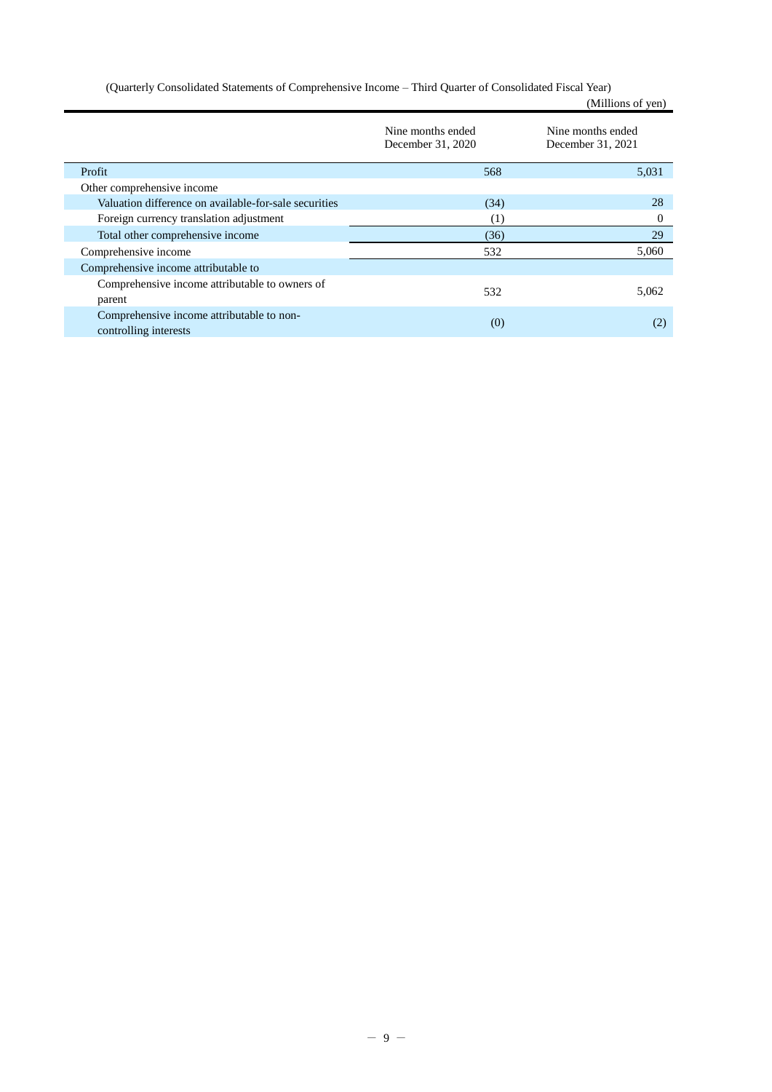(Quarterly Consolidated Statements of Comprehensive Income – Third Quarter of Consolidated Fiscal Year) (Millions of yen)

|                                                                    | Nine months ended<br>December 31, 2020 | Nine months ended<br>December 31, 2021 |
|--------------------------------------------------------------------|----------------------------------------|----------------------------------------|
| Profit                                                             | 568                                    | 5,031                                  |
| Other comprehensive income                                         |                                        |                                        |
| Valuation difference on available-for-sale securities              | (34)                                   | 28                                     |
| Foreign currency translation adjustment                            | $\left(1\right)$                       | $\Omega$                               |
| Total other comprehensive income                                   | (36)                                   | 29                                     |
| Comprehensive income                                               | 532                                    | 5,060                                  |
| Comprehensive income attributable to                               |                                        |                                        |
| Comprehensive income attributable to owners of<br>parent           | 532                                    | 5.062                                  |
| Comprehensive income attributable to non-<br>controlling interests | (0)                                    | (2)                                    |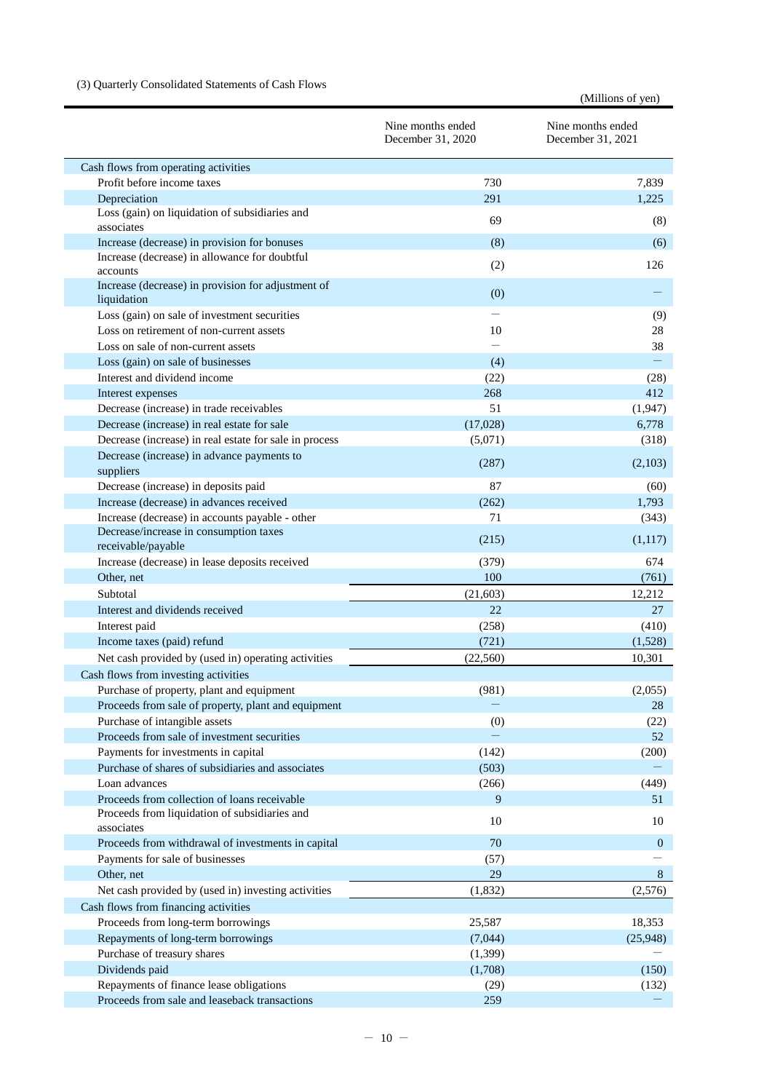# <span id="page-9-0"></span>(3) Quarterly Consolidated Statements of Cash Flows

|                                                                              |                                        | (Millions of yen)                      |
|------------------------------------------------------------------------------|----------------------------------------|----------------------------------------|
|                                                                              | Nine months ended<br>December 31, 2020 | Nine months ended<br>December 31, 2021 |
| Cash flows from operating activities                                         |                                        |                                        |
| Profit before income taxes                                                   | 730                                    | 7,839                                  |
| Depreciation                                                                 | 291                                    | 1,225                                  |
| Loss (gain) on liquidation of subsidiaries and<br>associates                 | 69                                     | (8)                                    |
| Increase (decrease) in provision for bonuses                                 | (8)                                    | (6)                                    |
| Increase (decrease) in allowance for doubtful                                | (2)                                    | 126                                    |
| accounts<br>Increase (decrease) in provision for adjustment of               |                                        |                                        |
| liquidation                                                                  | (0)                                    |                                        |
| Loss (gain) on sale of investment securities                                 |                                        | (9)                                    |
| Loss on retirement of non-current assets                                     | 10                                     | 28                                     |
| Loss on sale of non-current assets<br>Loss (gain) on sale of businesses      | (4)                                    | 38                                     |
| Interest and dividend income                                                 | (22)                                   | (28)                                   |
| Interest expenses                                                            | 268                                    | 412                                    |
| Decrease (increase) in trade receivables                                     | 51                                     | (1,947)                                |
| Decrease (increase) in real estate for sale                                  | (17,028)                               | 6,778                                  |
| Decrease (increase) in real estate for sale in process                       | (5,071)                                | (318)                                  |
| Decrease (increase) in advance payments to                                   |                                        |                                        |
| suppliers                                                                    | (287)                                  | (2,103)                                |
| Decrease (increase) in deposits paid                                         | 87                                     | (60)                                   |
| Increase (decrease) in advances received                                     | (262)                                  | 1,793                                  |
| Increase (decrease) in accounts payable - other                              | 71                                     | (343)                                  |
| Decrease/increase in consumption taxes<br>receivable/payable                 | (215)                                  | (1,117)                                |
| Increase (decrease) in lease deposits received                               | (379)                                  | 674                                    |
| Other, net                                                                   | 100                                    | (761)                                  |
| Subtotal                                                                     | (21, 603)                              | 12,212                                 |
| Interest and dividends received                                              | 22                                     | 27                                     |
| Interest paid                                                                | (258)                                  | (410)                                  |
| Income taxes (paid) refund                                                   | (721)                                  | (1,528)                                |
| Net cash provided by (used in) operating activities                          | (22, 560)                              | 10,301                                 |
| Cash flows from investing activities                                         |                                        |                                        |
| Purchase of property, plant and equipment                                    | (981)                                  | (2,055)                                |
| Proceeds from sale of property, plant and equipment                          |                                        | 28                                     |
| Purchase of intangible assets<br>Proceeds from sale of investment securities | (0)                                    | (22)<br>52                             |
| Payments for investments in capital                                          | (142)                                  | (200)                                  |
| Purchase of shares of subsidiaries and associates                            | (503)                                  |                                        |
| Loan advances                                                                | (266)                                  | (449)                                  |
| Proceeds from collection of loans receivable                                 | $\overline{9}$                         | 51                                     |
| Proceeds from liquidation of subsidiaries and<br>associates                  | 10                                     | 10                                     |
| Proceeds from withdrawal of investments in capital                           | 70                                     | $\overline{0}$                         |
| Payments for sale of businesses                                              | (57)                                   |                                        |
| Other, net                                                                   | 29                                     | $8\,$                                  |
| Net cash provided by (used in) investing activities                          | (1, 832)                               | (2,576)                                |
| Cash flows from financing activities                                         |                                        |                                        |
| Proceeds from long-term borrowings                                           | 25,587                                 | 18,353                                 |
| Repayments of long-term borrowings                                           | (7,044)                                | (25,948)                               |
| Purchase of treasury shares                                                  | (1, 399)                               |                                        |
| Dividends paid                                                               | (1,708)                                | (150)                                  |
| Repayments of finance lease obligations                                      | (29)                                   | (132)                                  |
| Proceeds from sale and leaseback transactions                                | 259                                    |                                        |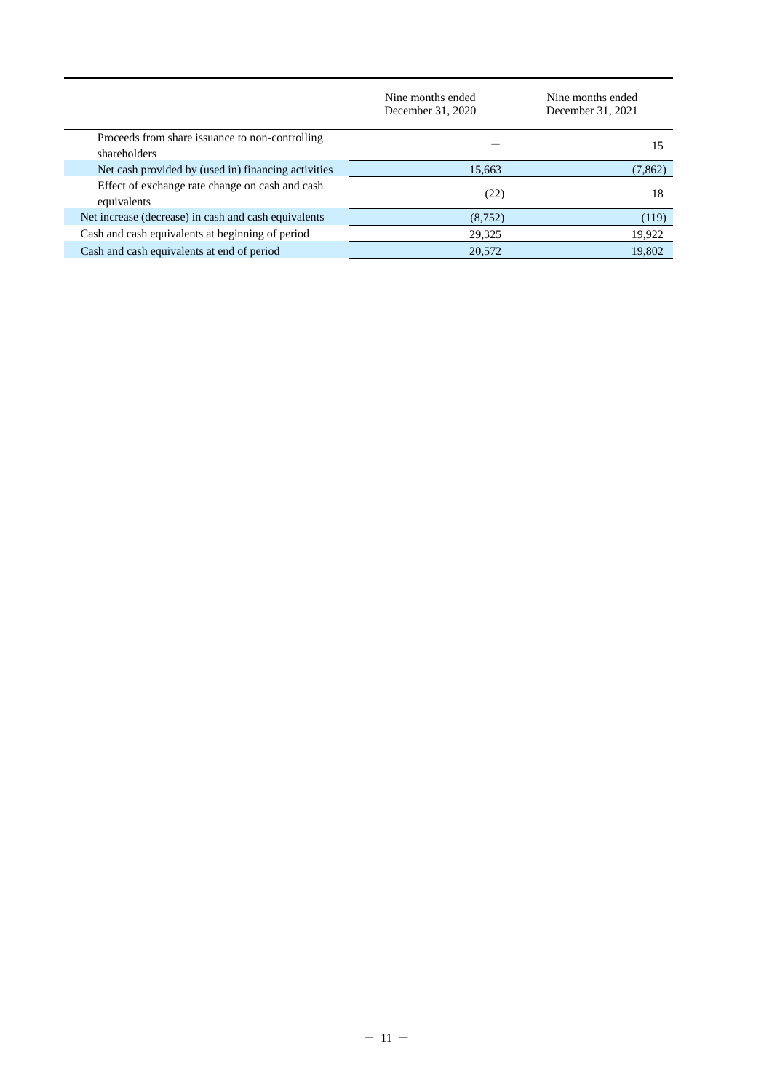|                                                                 | Nine months ended<br>December 31, 2020 | Nine months ended<br>December 31, 2021 |
|-----------------------------------------------------------------|----------------------------------------|----------------------------------------|
| Proceeds from share issuance to non-controlling<br>shareholders |                                        | 15                                     |
| Net cash provided by (used in) financing activities             | 15,663                                 | (7, 862)                               |
| Effect of exchange rate change on cash and cash<br>equivalents  | (22)                                   | 18                                     |
| Net increase (decrease) in cash and cash equivalents            | (8, 752)                               | (119)                                  |
| Cash and cash equivalents at beginning of period                | 29,325                                 | 19,922                                 |
| Cash and cash equivalents at end of period                      | 20,572                                 | 19,802                                 |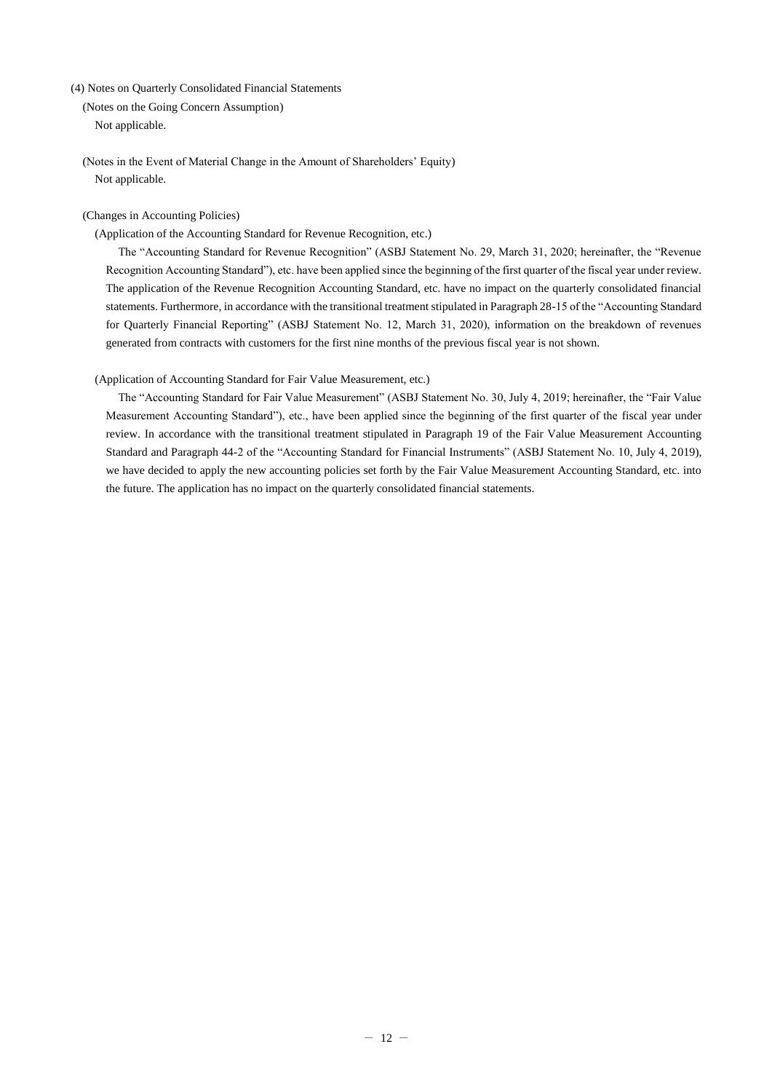<span id="page-11-0"></span>(4) Notes on Quarterly Consolidated Financial Statements

<span id="page-11-1"></span>(Notes on the Going Concern Assumption) Not applicable.

<span id="page-11-2"></span>(Notes in the Event of Material Change in the Amount of Shareholders' Equity) Not applicable.

# <span id="page-11-3"></span>(Changes in Accounting Policies)

(Application of the Accounting Standard for Revenue Recognition, etc.)

The "Accounting Standard for Revenue Recognition" (ASBJ Statement No. 29, March 31, 2020; hereinafter, the "Revenue Recognition Accounting Standard"), etc. have been applied since the beginning of the first quarter of the fiscal year under review. The application of the Revenue Recognition Accounting Standard, etc. have no impact on the quarterly consolidated financial statements. Furthermore, in accordance with the transitional treatment stipulated in Paragraph 28-15 of the "Accounting Standard for Quarterly Financial Reporting" (ASBJ Statement No. 12, March 31, 2020), information on the breakdown of revenues generated from contracts with customers for the first nine months of the previous fiscal year is not shown.

# (Application of Accounting Standard for Fair Value Measurement, etc.)

The "Accounting Standard for Fair Value Measurement" (ASBJ Statement No. 30, July 4, 2019; hereinafter, the "Fair Value Measurement Accounting Standard"), etc., have been applied since the beginning of the first quarter of the fiscal year under review. In accordance with the transitional treatment stipulated in Paragraph 19 of the Fair Value Measurement Accounting Standard and Paragraph 44-2 of the "Accounting Standard for Financial Instruments" (ASBJ Statement No. 10, July 4, 2019), we have decided to apply the new accounting policies set forth by the Fair Value Measurement Accounting Standard, etc. into the future. The application has no impact on the quarterly consolidated financial statements.